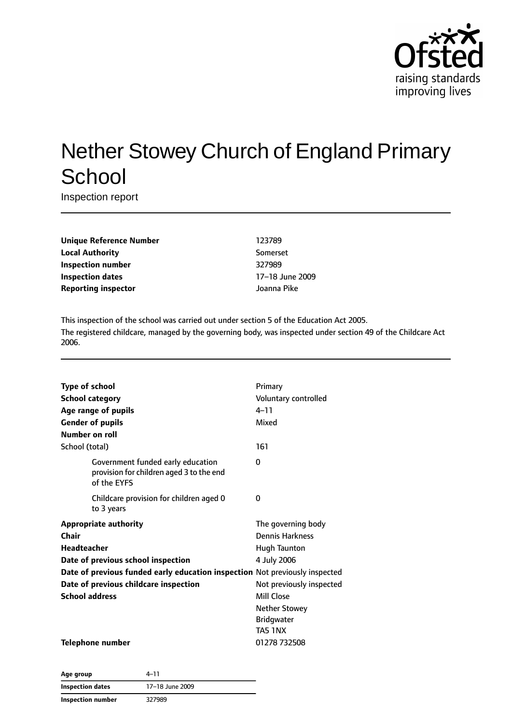

# Nether Stowey Church of England Primary **School**

Inspection report

**Unique Reference Number** 123789 **Local Authority** Somerset **Inspection number** 327989 **Inspection dates** 17–18 June 2009 **Reporting inspector** Joanna Pike

This inspection of the school was carried out under section 5 of the Education Act 2005. The registered childcare, managed by the governing body, was inspected under section 49 of the Childcare Act 2006.

| <b>Type of school</b><br><b>School category</b><br>Age range of pupils<br><b>Gender of pupils</b><br>Number on roll | Primary<br>Voluntary controlled<br>$4 - 11$<br>Mixed |
|---------------------------------------------------------------------------------------------------------------------|------------------------------------------------------|
| School (total)                                                                                                      | 161                                                  |
| Government funded early education<br>provision for children aged 3 to the end<br>of the EYFS                        | 0                                                    |
| Childcare provision for children aged 0<br>to 3 years                                                               | 0                                                    |
| <b>Appropriate authority</b>                                                                                        | The governing body                                   |
| Chair                                                                                                               | <b>Dennis Harkness</b>                               |
| <b>Headteacher</b>                                                                                                  | Hugh Taunton                                         |
| Date of previous school inspection                                                                                  | 4 July 2006                                          |
| Date of previous funded early education inspection Not previously inspected                                         |                                                      |
| Date of previous childcare inspection                                                                               | Not previously inspected                             |
| <b>School address</b>                                                                                               | Mill Close                                           |
|                                                                                                                     | <b>Nether Stowey</b>                                 |
|                                                                                                                     | <b>Bridgwater</b>                                    |
|                                                                                                                     | TA5 1NX                                              |
| <b>Telephone number</b>                                                                                             | 01278 732508                                         |

| Age group                | 4–11            |  |
|--------------------------|-----------------|--|
| <b>Inspection dates</b>  | 17-18 June 2009 |  |
| <b>Inspection number</b> | 327989          |  |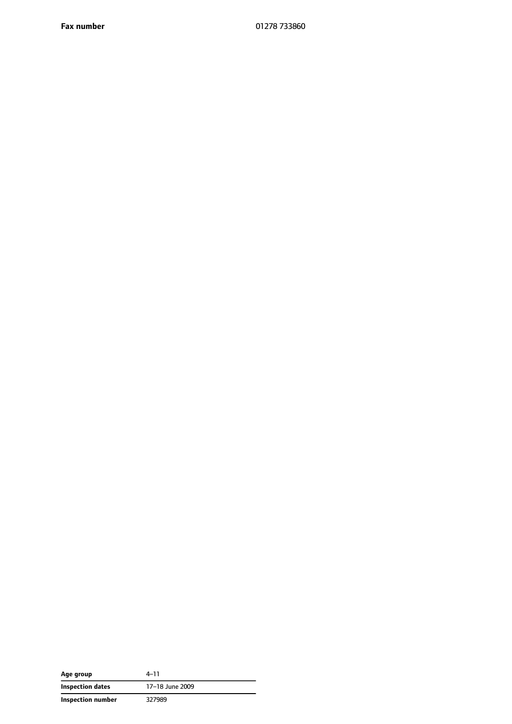**Fax number** 01278 733860

| Age group         | 4-11            |
|-------------------|-----------------|
| Inspection dates  | 17–18 June 2009 |
| Inspection number | 327989          |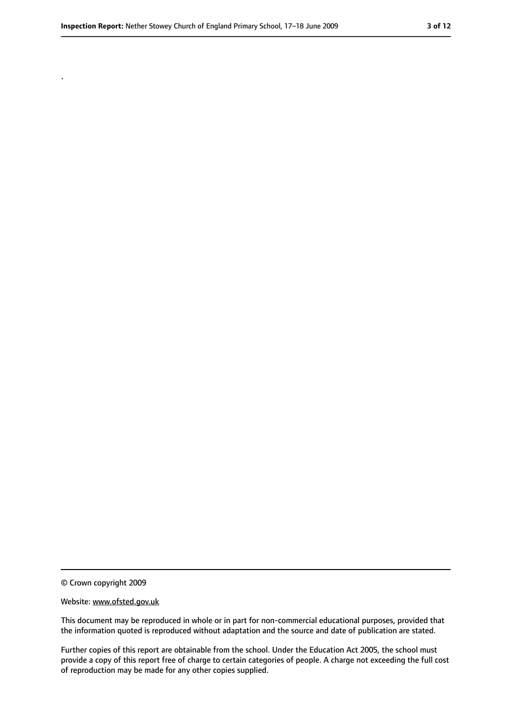.

<sup>©</sup> Crown copyright 2009

Website: www.ofsted.gov.uk

This document may be reproduced in whole or in part for non-commercial educational purposes, provided that the information quoted is reproduced without adaptation and the source and date of publication are stated.

Further copies of this report are obtainable from the school. Under the Education Act 2005, the school must provide a copy of this report free of charge to certain categories of people. A charge not exceeding the full cost of reproduction may be made for any other copies supplied.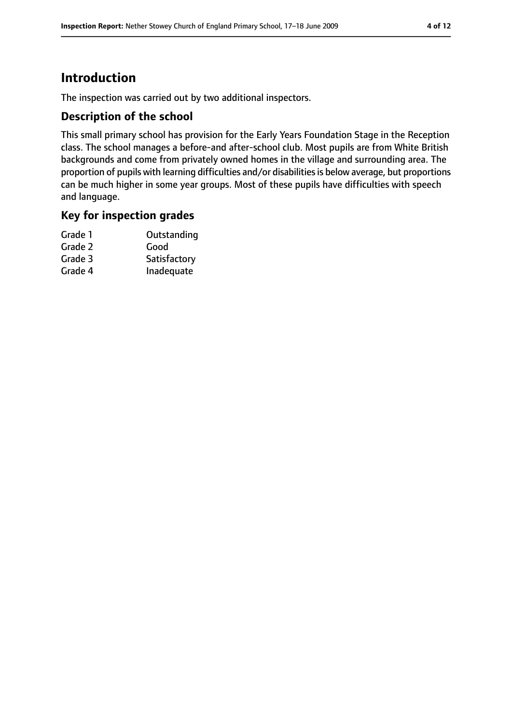## **Introduction**

The inspection was carried out by two additional inspectors.

#### **Description of the school**

This small primary school has provision for the Early Years Foundation Stage in the Reception class. The school manages a before-and after-school club. Most pupils are from White British backgrounds and come from privately owned homes in the village and surrounding area. The proportion of pupils with learning difficulties and/or disabilities is below average, but proportions can be much higher in some year groups. Most of these pupils have difficulties with speech and language.

#### **Key for inspection grades**

| Grade 1 | Outstanding  |
|---------|--------------|
| Grade 2 | Good         |
| Grade 3 | Satisfactory |
| Grade 4 | Inadequate   |
|         |              |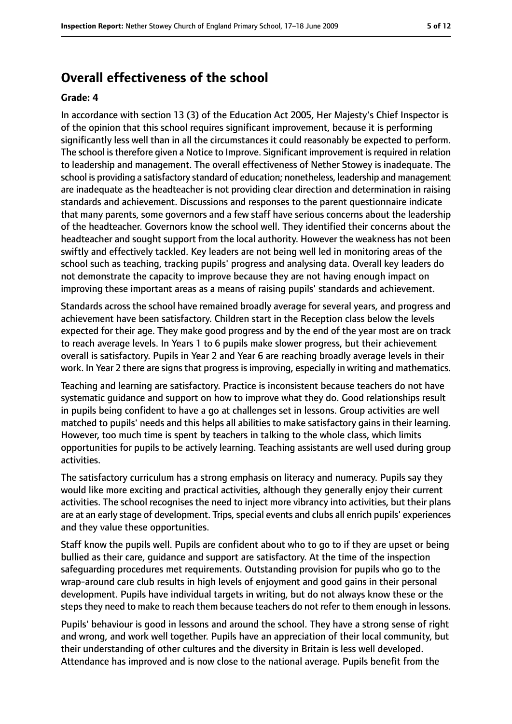## **Overall effectiveness of the school**

#### **Grade: 4**

In accordance with section 13 (3) of the Education Act 2005, Her Majesty's Chief Inspector is of the opinion that this school requires significant improvement, because it is performing significantly less well than in all the circumstances it could reasonably be expected to perform. The school is therefore given a Notice to Improve. Significant improvement is required in relation to leadership and management. The overall effectiveness of Nether Stowey is inadequate. The school is providing a satisfactory standard of education; nonetheless, leadership and management are inadequate as the headteacher is not providing clear direction and determination in raising standards and achievement. Discussions and responses to the parent questionnaire indicate that many parents, some governors and a few staff have serious concerns about the leadership of the headteacher. Governors know the school well. They identified their concerns about the headteacher and sought support from the local authority. However the weakness has not been swiftly and effectively tackled. Key leaders are not being well led in monitoring areas of the school such as teaching, tracking pupils' progress and analysing data. Overall key leaders do not demonstrate the capacity to improve because they are not having enough impact on improving these important areas as a means of raising pupils' standards and achievement.

Standards across the school have remained broadly average for several years, and progress and achievement have been satisfactory. Children start in the Reception class below the levels expected for their age. They make good progress and by the end of the year most are on track to reach average levels. In Years 1 to 6 pupils make slower progress, but their achievement overall is satisfactory. Pupils in Year 2 and Year 6 are reaching broadly average levels in their work. In Year 2 there are signs that progress is improving, especially in writing and mathematics.

Teaching and learning are satisfactory. Practice is inconsistent because teachers do not have systematic guidance and support on how to improve what they do. Good relationships result in pupils being confident to have a go at challenges set in lessons. Group activities are well matched to pupils' needs and this helps all abilities to make satisfactory gains in their learning. However, too much time is spent by teachers in talking to the whole class, which limits opportunities for pupils to be actively learning. Teaching assistants are well used during group activities.

The satisfactory curriculum has a strong emphasis on literacy and numeracy. Pupils say they would like more exciting and practical activities, although they generally enjoy their current activities. The school recognises the need to inject more vibrancy into activities, but their plans are at an early stage of development. Trips, special events and clubs all enrich pupils' experiences and they value these opportunities.

Staff know the pupils well. Pupils are confident about who to go to if they are upset or being bullied as their care, guidance and support are satisfactory. At the time of the inspection safeguarding procedures met requirements. Outstanding provision for pupils who go to the wrap-around care club results in high levels of enjoyment and good gains in their personal development. Pupils have individual targets in writing, but do not always know these or the steps they need to make to reach them because teachers do not refer to them enough in lessons.

Pupils' behaviour is good in lessons and around the school. They have a strong sense of right and wrong, and work well together. Pupils have an appreciation of their local community, but their understanding of other cultures and the diversity in Britain is less well developed. Attendance has improved and is now close to the national average. Pupils benefit from the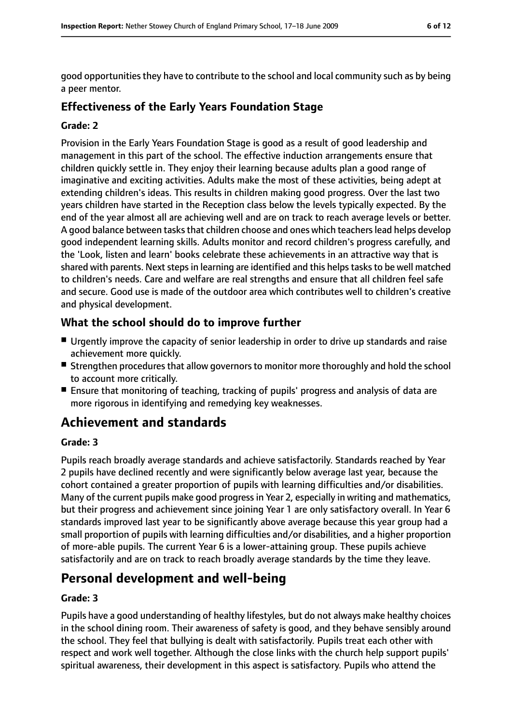good opportunities they have to contribute to the school and local community such as by being a peer mentor.

#### **Effectiveness of the Early Years Foundation Stage**

#### **Grade: 2**

Provision in the Early Years Foundation Stage is good as a result of good leadership and management in this part of the school. The effective induction arrangements ensure that children quickly settle in. They enjoy their learning because adults plan a good range of imaginative and exciting activities. Adults make the most of these activities, being adept at extending children's ideas. This results in children making good progress. Over the last two years children have started in the Reception class below the levels typically expected. By the end of the year almost all are achieving well and are on track to reach average levels or better. A good balance between tasks that children choose and ones which teachers lead helps develop good independent learning skills. Adults monitor and record children's progress carefully, and the 'Look, listen and learn' books celebrate these achievements in an attractive way that is shared with parents. Next steps in learning are identified and this helps tasks to be well matched to children's needs. Care and welfare are real strengths and ensure that all children feel safe and secure. Good use is made of the outdoor area which contributes well to children's creative and physical development.

#### **What the school should do to improve further**

- Urgently improve the capacity of senior leadership in order to drive up standards and raise achievement more quickly.
- Strengthen procedures that allow governors to monitor more thoroughly and hold the school to account more critically.
- Ensure that monitoring of teaching, tracking of pupils' progress and analysis of data are more rigorous in identifying and remedying key weaknesses.

## **Achievement and standards**

#### **Grade: 3**

Pupils reach broadly average standards and achieve satisfactorily. Standards reached by Year 2 pupils have declined recently and were significantly below average last year, because the cohort contained a greater proportion of pupils with learning difficulties and/or disabilities. Many of the current pupils make good progress in Year 2, especially in writing and mathematics, but their progress and achievement since joining Year 1 are only satisfactory overall. In Year 6 standards improved last year to be significantly above average because this year group had a small proportion of pupils with learning difficulties and/or disabilities, and a higher proportion of more-able pupils. The current Year 6 is a lower-attaining group. These pupils achieve satisfactorily and are on track to reach broadly average standards by the time they leave.

## **Personal development and well-being**

#### **Grade: 3**

Pupils have a good understanding of healthy lifestyles, but do not always make healthy choices in the school dining room. Their awareness of safety is good, and they behave sensibly around the school. They feel that bullying is dealt with satisfactorily. Pupils treat each other with respect and work well together. Although the close links with the church help support pupils' spiritual awareness, their development in this aspect is satisfactory. Pupils who attend the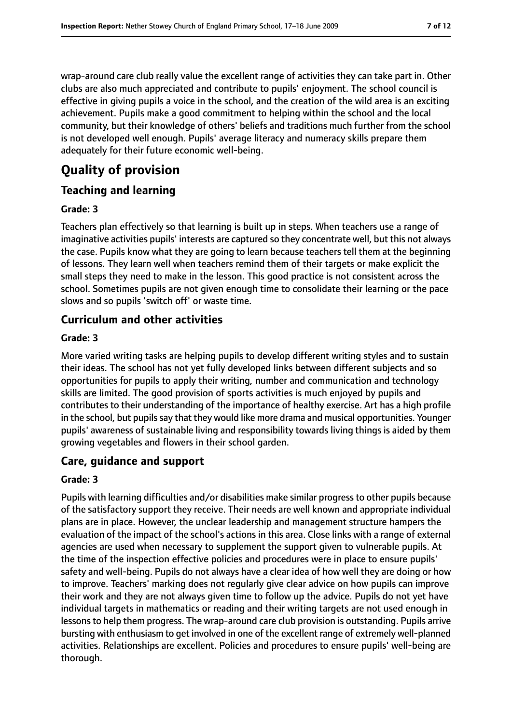wrap-around care club really value the excellent range of activities they can take part in. Other clubs are also much appreciated and contribute to pupils' enjoyment. The school council is effective in giving pupils a voice in the school, and the creation of the wild area is an exciting achievement. Pupils make a good commitment to helping within the school and the local community, but their knowledge of others' beliefs and traditions much further from the school is not developed well enough. Pupils' average literacy and numeracy skills prepare them adequately for their future economic well-being.

# **Quality of provision**

#### **Teaching and learning**

#### **Grade: 3**

Teachers plan effectively so that learning is built up in steps. When teachers use a range of imaginative activities pupils' interests are captured so they concentrate well, but this not always the case. Pupils know what they are going to learn because teachers tell them at the beginning of lessons. They learn well when teachers remind them of their targets or make explicit the small steps they need to make in the lesson. This good practice is not consistent across the school. Sometimes pupils are not given enough time to consolidate their learning or the pace slows and so pupils 'switch off' or waste time.

#### **Curriculum and other activities**

#### **Grade: 3**

More varied writing tasks are helping pupils to develop different writing styles and to sustain their ideas. The school has not yet fully developed links between different subjects and so opportunities for pupils to apply their writing, number and communication and technology skills are limited. The good provision of sports activities is much enjoyed by pupils and contributes to their understanding of the importance of healthy exercise. Art has a high profile in the school, but pupils say that they would like more drama and musical opportunities. Younger pupils' awareness of sustainable living and responsibility towards living things is aided by them growing vegetables and flowers in their school garden.

#### **Care, guidance and support**

#### **Grade: 3**

Pupils with learning difficulties and/or disabilities make similar progress to other pupils because of the satisfactory support they receive. Their needs are well known and appropriate individual plans are in place. However, the unclear leadership and management structure hampers the evaluation of the impact of the school's actions in this area. Close links with a range of external agencies are used when necessary to supplement the support given to vulnerable pupils. At the time of the inspection effective policies and procedures were in place to ensure pupils' safety and well-being. Pupils do not always have a clear idea of how well they are doing or how to improve. Teachers' marking does not regularly give clear advice on how pupils can improve their work and they are not always given time to follow up the advice. Pupils do not yet have individual targets in mathematics or reading and their writing targets are not used enough in lessons to help them progress. The wrap-around care club provision is outstanding. Pupils arrive bursting with enthusiasm to get involved in one of the excellent range of extremely well-planned activities. Relationships are excellent. Policies and procedures to ensure pupils' well-being are thorough.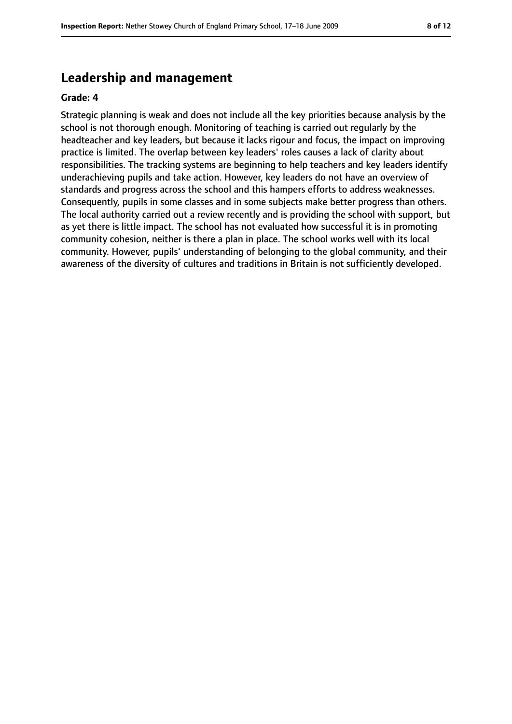#### **Leadership and management**

#### **Grade: 4**

Strategic planning is weak and does not include all the key priorities because analysis by the school is not thorough enough. Monitoring of teaching is carried out regularly by the headteacher and key leaders, but because it lacks rigour and focus, the impact on improving practice is limited. The overlap between key leaders' roles causes a lack of clarity about responsibilities. The tracking systems are beginning to help teachers and key leaders identify underachieving pupils and take action. However, key leaders do not have an overview of standards and progress across the school and this hampers efforts to address weaknesses. Consequently, pupils in some classes and in some subjects make better progress than others. The local authority carried out a review recently and is providing the school with support, but as yet there is little impact. The school has not evaluated how successful it is in promoting community cohesion, neither is there a plan in place. The school works well with its local community. However, pupils' understanding of belonging to the global community, and their awareness of the diversity of cultures and traditions in Britain is not sufficiently developed.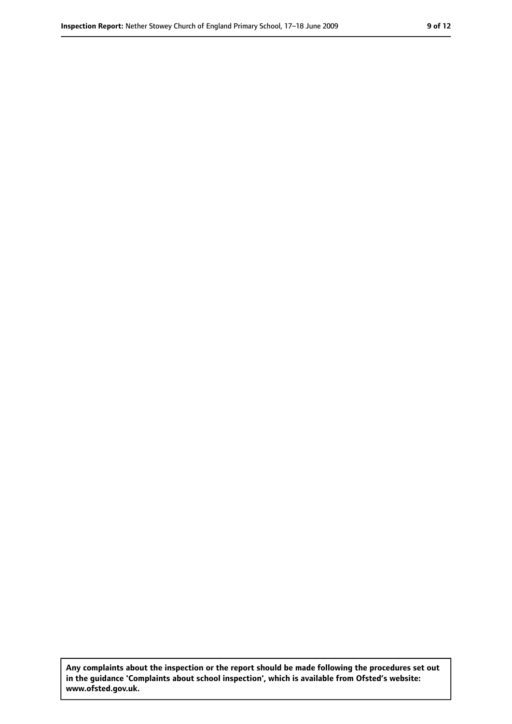**Any complaints about the inspection or the report should be made following the procedures set out in the guidance 'Complaints about school inspection', which is available from Ofsted's website: www.ofsted.gov.uk.**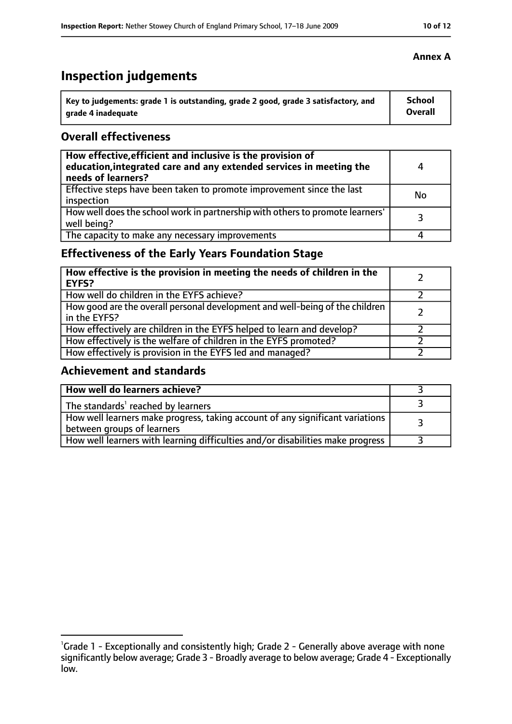# **Inspection judgements**

| Key to judgements: grade 1 is outstanding, grade 2 good, grade 3 satisfactory, and | <b>School</b>  |
|------------------------------------------------------------------------------------|----------------|
| arade 4 inadequate                                                                 | <b>Overall</b> |

#### **Overall effectiveness**

| How effective, efficient and inclusive is the provision of<br>education, integrated care and any extended services in meeting the<br>needs of learners? | Δ  |
|---------------------------------------------------------------------------------------------------------------------------------------------------------|----|
| Effective steps have been taken to promote improvement since the last<br>inspection                                                                     | No |
| How well does the school work in partnership with others to promote learners'<br>well being?                                                            | 3  |
| The capacity to make any necessary improvements                                                                                                         |    |

#### **Effectiveness of the Early Years Foundation Stage**

| How effective is the provision in meeting the needs of children in the<br><b>EYFS?</b>       |  |
|----------------------------------------------------------------------------------------------|--|
| How well do children in the EYFS achieve?                                                    |  |
| How good are the overall personal development and well-being of the children<br>in the EYFS? |  |
| How effectively are children in the EYFS helped to learn and develop?                        |  |
| How effectively is the welfare of children in the EYFS promoted?                             |  |
| How effectively is provision in the EYFS led and managed?                                    |  |

#### **Achievement and standards**

| How well do learners achieve?                                                                               |  |
|-------------------------------------------------------------------------------------------------------------|--|
| The standards <sup>1</sup> reached by learners                                                              |  |
| How well learners make progress, taking account of any significant variations<br>between groups of learners |  |
| How well learners with learning difficulties and/or disabilities make progress                              |  |

<sup>&</sup>lt;sup>1</sup>Grade 1 - Exceptionally and consistently high; Grade 2 - Generally above average with none significantly below average; Grade 3 - Broadly average to below average; Grade 4 - Exceptionally

low.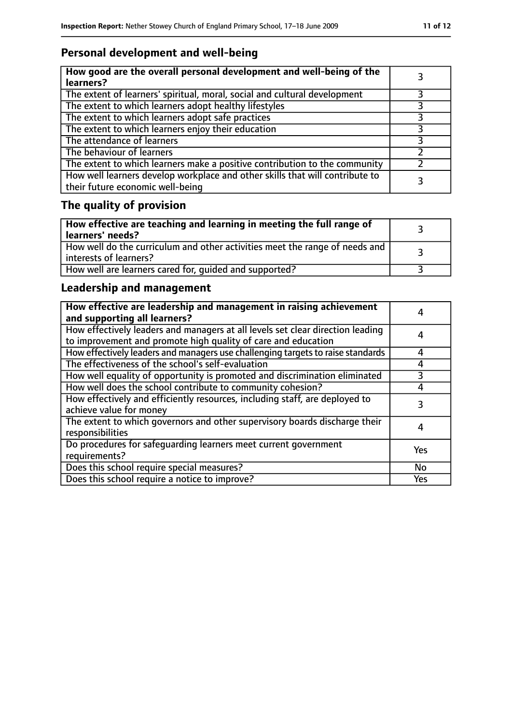## **Personal development and well-being**

| How good are the overall personal development and well-being of the<br>learners?                                 |  |
|------------------------------------------------------------------------------------------------------------------|--|
| The extent of learners' spiritual, moral, social and cultural development                                        |  |
| The extent to which learners adopt healthy lifestyles                                                            |  |
| The extent to which learners adopt safe practices                                                                |  |
| The extent to which learners enjoy their education                                                               |  |
| The attendance of learners                                                                                       |  |
| The behaviour of learners                                                                                        |  |
| The extent to which learners make a positive contribution to the community                                       |  |
| How well learners develop workplace and other skills that will contribute to<br>their future economic well-being |  |

# **The quality of provision**

| How effective are teaching and learning in meeting the full range of<br>learners' needs?              |  |
|-------------------------------------------------------------------------------------------------------|--|
| How well do the curriculum and other activities meet the range of needs and<br>interests of learners? |  |
| How well are learners cared for, quided and supported?                                                |  |

## **Leadership and management**

| How effective are leadership and management in raising achievement<br>and supporting all learners?                                              |           |
|-------------------------------------------------------------------------------------------------------------------------------------------------|-----------|
| How effectively leaders and managers at all levels set clear direction leading<br>to improvement and promote high quality of care and education | 4         |
| How effectively leaders and managers use challenging targets to raise standards                                                                 | 4         |
| The effectiveness of the school's self-evaluation                                                                                               | 4         |
| How well equality of opportunity is promoted and discrimination eliminated                                                                      | 3         |
| How well does the school contribute to community cohesion?                                                                                      | 4         |
| How effectively and efficiently resources, including staff, are deployed to<br>achieve value for money                                          |           |
| The extent to which governors and other supervisory boards discharge their<br>responsibilities                                                  | 4         |
| Do procedures for safequarding learners meet current government<br>requirements?                                                                | Yes       |
| Does this school require special measures?                                                                                                      | <b>No</b> |
| Does this school require a notice to improve?                                                                                                   | Yes       |